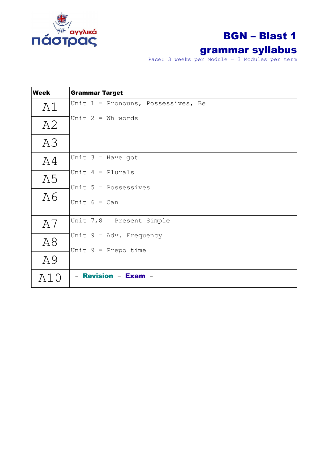

# BGN – Blast 1

### grammar syllabus

Pace: 3 weeks per Module = 3 Modules per term

| <b>Week</b> | <b>Grammar Target</b>                    |
|-------------|------------------------------------------|
| A1          | Unit $1$ = Pronouns, Possessives, Be     |
| A2          | Unit $2 = Wh$ words                      |
| A3          |                                          |
| A4          | Unit $3 =$ Have got                      |
| A5          | Unit $4 =$ Plurals                       |
| A6          | Unit $5 = Possessives$<br>Unit $6 = Can$ |
| A7          | Unit $7, 8$ = Present Simple             |
| A8          | Unit $9 = Adv. Frequency$                |
| A9          | Unit $9$ = Prepo time                    |
| A10         | - Revision - Exam -                      |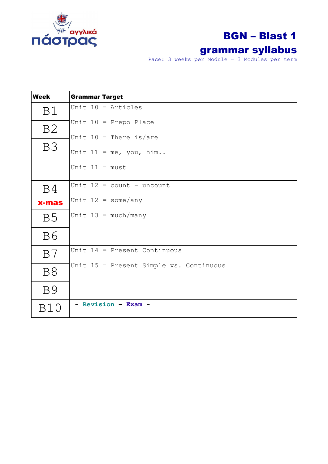

# BGN – Blast 1

### grammar syllabus

Pace: 3 weeks per Module = 3 Modules per term

| <b>Week</b>           | <b>Grammar Target</b>                   |
|-----------------------|-----------------------------------------|
| B1                    | Unit $10 =$ Articles                    |
| B <sub>2</sub>        | Unit $10$ = Prepo Place                 |
|                       | Unit $10$ = There is/are                |
| B <sub>3</sub>        | Unit $11 = me$ , you, him               |
|                       | Unit $11 = must$                        |
| B4                    | Unit $12 = count - uncount$             |
| <b>x-mas</b>          | Unit $12 =$ some/any                    |
| <b>B5</b>             | Unit $13 = \text{much}/\text{many}$     |
| <b>B6</b>             |                                         |
| B7                    | Unit $14$ = Present Continuous          |
| <b>B8</b>             | Unit 15 = Present Simple vs. Continuous |
| <b>B</b> <sup>9</sup> |                                         |
| B10                   | - Revision - Exam -                     |